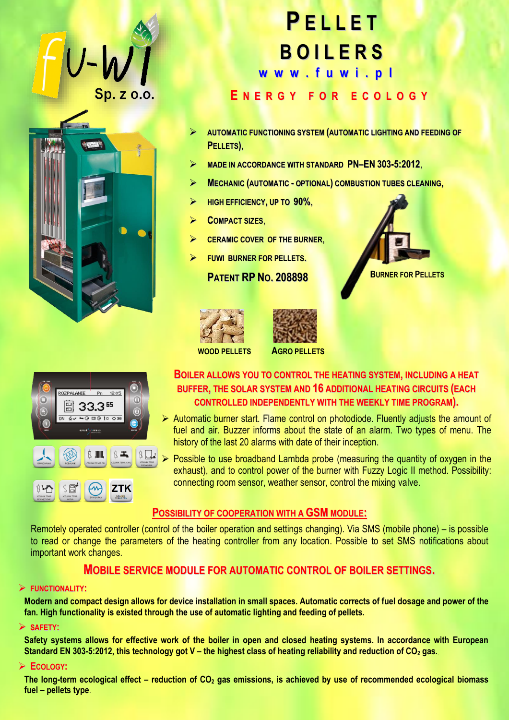



# **P E L L E T B O I L E R S E N E R G Y F O R E C O L O G Y w [w](http://www.fuwi.pl/) w . f u w i . p l**

- **AUTOMATIC FUNCTIONING SYSTEM (AUTOMATIC LIGHTING AND FEEDING OF PELLETS)**,
- **MADE IN ACCORDANCE WITH STANDARD PN–EN 303-5:2012**,
- **MECHANIC (AUTOMATIC - OPTIONAL) COMBUSTION TUBES CLEANING,**
- **HIGH EFFICIENCY, UP TO 90%**,
- **COMPACT SIZES**,
- **CERAMIC COVER OF THE BURNER**,
- **FUWI BURNER FOR PELLETS.**

**PATENT RP NO. 208898**









## **BOILER ALLOWS YOU TO CONTROL THE HEATING SYSTEM, INCLUDING A HEAT BUFFER, THE SOLAR SYSTEM AND 16 ADDITIONAL HEATING CIRCUITS (EACH CONTROLLED INDEPENDENTLY WITH THE WEEKLY TIME PROGRAM).**

- $\triangleright$  Automatic burner start. Flame control on photodiode. Fluently adjusts the amount of fuel and air. Buzzer informs about the state of an alarm. Two types of menu. The history of the last 20 alarms with date of their inception.
- $\triangleright$  Possible to use broadband Lambda probe (measuring the quantity of oxygen in the exhaust), and to control power of the burner with Fuzzy Logic II method. Possibility: connecting room sensor, weather sensor, control the mixing valve.

## **POSSIBILITY OF COOPERATION WITH A GSMMODULE:**

Remotely operated controller (control of the boiler operation and settings changing). Via SMS (mobile phone) – is possible to read or change the parameters of the heating controller from any location. Possible to set SMS notifications about important work changes.

# **MOBILE SERVICE MODULE FOR AUTOMATIC CONTROL OF BOILER SETTINGS.**

#### **FUNCTIONALITY:**

**Modern and compact design allows for device installation in small spaces. Automatic corrects of fuel dosage and power of the fan. High functionality is existed through the use of automatic lighting and feeding of pellets.**

#### **SAFETY:**

**Safety systems allows for effective work of the boiler in open and closed heating systems. In accordance with European Standard EN 303-5:2012, this technology got V – the highest class of heating reliability and reduction of СО<sup>2</sup> gas.**.

#### **ECOLOGY:**

**The long-term ecological effect – reduction of СО<sup>2</sup> gas emissions, is achieved by use of recommended ecological biomass fuel – pellets type**.